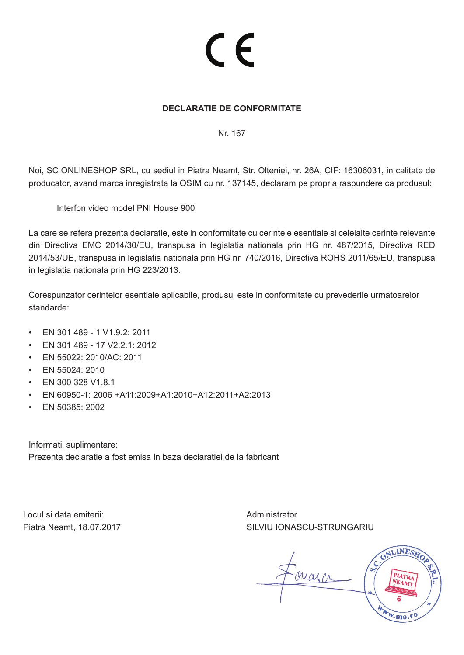# CE

## **DECLARATIE DE CONFORMITATE**

Nr. 167

Noi, SC ONLINESHOP SRL, cu sediul in Piatra Neamt, Str. Olteniei, nr. 26A, CIF: 16306031, in calitate de producator, avand marca inregistrata la OSIM cu nr. 137145, declaram pe propria raspundere ca produsul:

Interfon video model PNI House 900

La care se refera prezenta declaratie, este in conformitate cu cerintele esentiale si celelalte cerinte relevante din Directiva EMC 2014/30/EU, transpusa in legislatia nationala prin HG nr. 487/2015, Directiva RED 2014/53/UE, transpusa in legislatia nationala prin HG nr. 740/2016, Directiva ROHS 2011/65/EU, transpusa in legislatia nationala prin HG 223/2013.

Corespunzator cerintelor esentiale aplicabile, produsul este in conformitate cu prevederile urmatoarelor standarde:

- EN 301 489 1 V1.9.2: 2011
- EN 301 489 17 V2.2.1: 2012
- EN 55022: 2010/AC: 2011
- EN 55024: 2010
- EN 300 328 V1.8.1
- EN 60950-1: 2006 +A11:2009+A1:2010+A12:2011+A2:2013
- EN 50385: 2002

Informatii suplimentare: Prezenta declaratie a fost emisa in baza declaratiei de la fabricant

Locul si data emiterii: Piatra Neamt, 18.07.2017 Administrator SILVIU IONASCU-STRUNGARIU

onarc

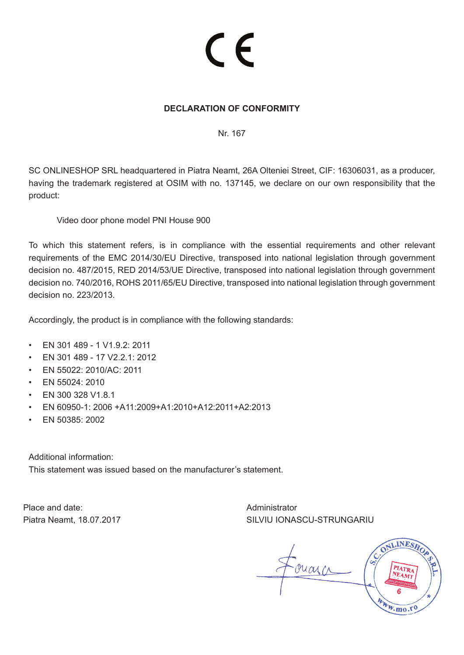# CE

### **DECLARATION OF CONFORMITY**

Nr. 167

SC ONLINESHOP SRL headquartered in Piatra Neamt, 26A Olteniei Street, CIF: 16306031, as a producer, having the trademark registered at OSIM with no. 137145, we declare on our own responsibility that the product:

Video door phone model PNI House 900

To which this statement refers, is in compliance with the essential requirements and other relevant requirements of the EMC 2014/30/EU Directive, transposed into national legislation through government decision no. 487/2015, RED 2014/53/UE Directive, transposed into national legislation through government decision no. 740/2016, ROHS 2011/65/EU Directive, transposed into national legislation through government decision no. 223/2013.

Accordingly, the product is in compliance with the following standards:

- EN 301 489 1 V1.9.2: 2011
- EN 301 489 17 V2.2.1: 2012
- EN 55022: 2010/AC: 2011
- EN 55024: 2010
- EN 300 328 V1.8.1
- EN 60950-1: 2006 +A11:2009+A1:2010+A12:2011+A2:2013
- EN 50385: 2002

Additional information:

This statement was issued based on the manufacturer's statement.

Place and date: Piatra Neamt, 18.07.2017 Administrator SILVIU IONASCU-STRUNGARIU

ouarco

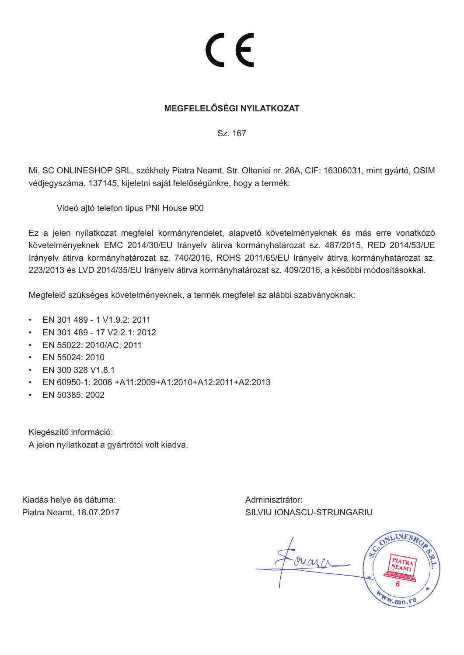## C E

## **MEGFELELŐSÉGI NYILATKOZAT**

Sz. 167

Mi, SC ONLINESHOP SRL, székhely Piatra Neamt, Str. Olteniei nr. 26A, CIF: 16306031, mint gyártó, OSIM védjegyszáma. 137145, kijeletni saját felelőségünkre, hogy a termék:

Videó ajtó telefon tipus PNI House 900

Ez a jelen nyílatkozat megfelel kormányrendelet, alapvető követelményeknek és más erre vonatkózó követelményeknek EMC 2014/30/EU Irányelv átirva kormányhatározat sz. 487/2015, RED 2014/53/UE Irányelv átirva kormányhatározat sz. 740/2016, ROHS 2011/65/EU Irányelv átirva kormányhatározat sz. 223/2013 és LVD 2014/35/EU Irányelv átirva kormányhatározat sz. 409/2016, a későbbi módosításokkal.

Megfelelő szükséges követelményeknek, a termék megfelel az alábbi szabványoknak:

- EN 301 489 1 V1.9.2: 2011
- EN 301 489 17 V2.2.1: 2012
- EN 55022: 2010/AC: 2011
- EN 55024: 2010
- EN 300 328 V1.8.1
- EN 60950-1: 2006 +A11:2009+A1:2010+A12:2011+A2:2013
- EN 50385: 2002

Kiegészítő információ: A jelen nyílatkozat a gyártrótól volt kiadva.

Kiadás helye és dátuma: Piatra Neamt, 18.07.2017 Adminisztrátor: SILVIU IONASCU-STRUNGARIU

marcs